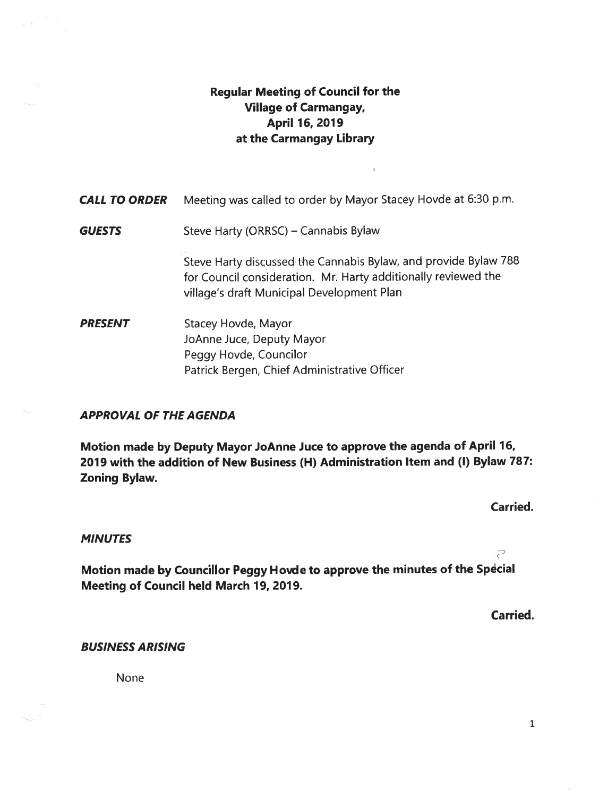## Regular Meeting of Council for the Village of Carmangay, April 16, 2019 at the Carmangay Library

| <b>CALL TO ORDER</b> | Meeting was called to order by Mayor Stacey Hovde at 6:30 p.m.                                                                                                                  |
|----------------------|---------------------------------------------------------------------------------------------------------------------------------------------------------------------------------|
| <b>GUESTS</b>        | Steve Harty (ORRSC) – Cannabis Bylaw                                                                                                                                            |
|                      | Steve Harty discussed the Cannabis Bylaw, and provide Bylaw 788<br>for Council consideration. Mr. Harty additionally reviewed the<br>village's draft Municipal Development Plan |
| <b>PRESENT</b>       | Stacey Hovde, Mayor<br>JoAnne Juce, Deputy Mayor<br>Peggy Hovde, Councilor<br>Patrick Bergen, Chief Administrative Officer                                                      |

#### APPROVAL OF THE AGENDA

Motion made by Deputy Mayor JoAnne Juce to approve the agenda of April 16, 2019 with the addition of New Business (H) Administration Item and (I) Bylaw 787: Zoning Bylaw.

Carried.

Ρ

#### **MINUTES**

Motion made by Councillor Peggy Hovde to approve the minutes of the Special Meeting of Council held March 19, 2019.

Carried.

#### BUSINESS ARISING

None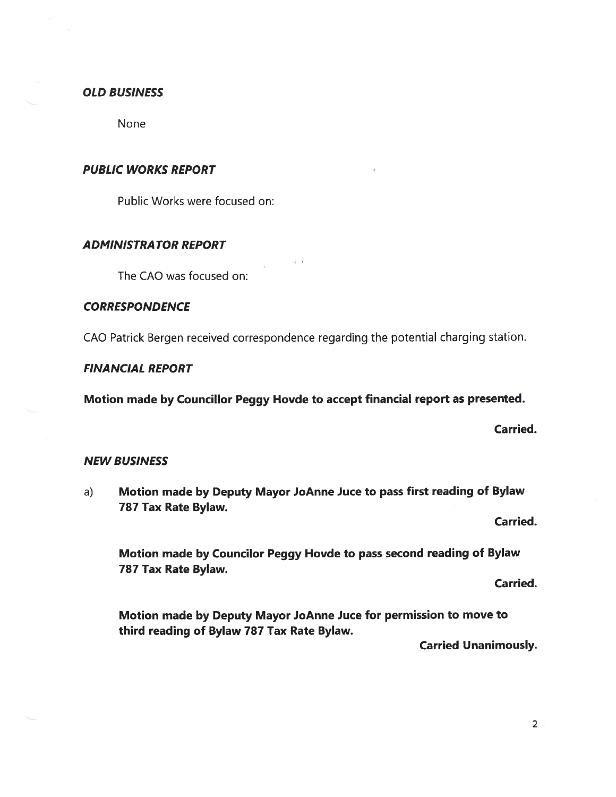#### OLD BUSINESS

None

#### PUBLIC WORKS REPORT

Public Works were focused on:

#### ADMINISTRATOR REPORT

The CAO was focused on:

### **CORRESPONDENCE**

CAO Patrick Bergen received correspondence regarding the potential charging station.

#### FINANCIAL REPORT

Motion made by Councillor Peggy Hovde to accept financial report as presented.

Carried.

#### NEW BUSINESS

a) Motion made by Deputy Mayor JoAnne Juce to pass first reading of Bylaw 787 Tax Rate Bylaw.

Carried.

Motion made by Councilor Peggy Hovde to pass second reading of Bylaw 787 Tax Rate Bylaw.

Carried.

Motion made by Deputy Mayor JoAnne Juce for permission to move to third reading of Bylaw 787 Tax Rate Bylaw.

Carried Unanimously.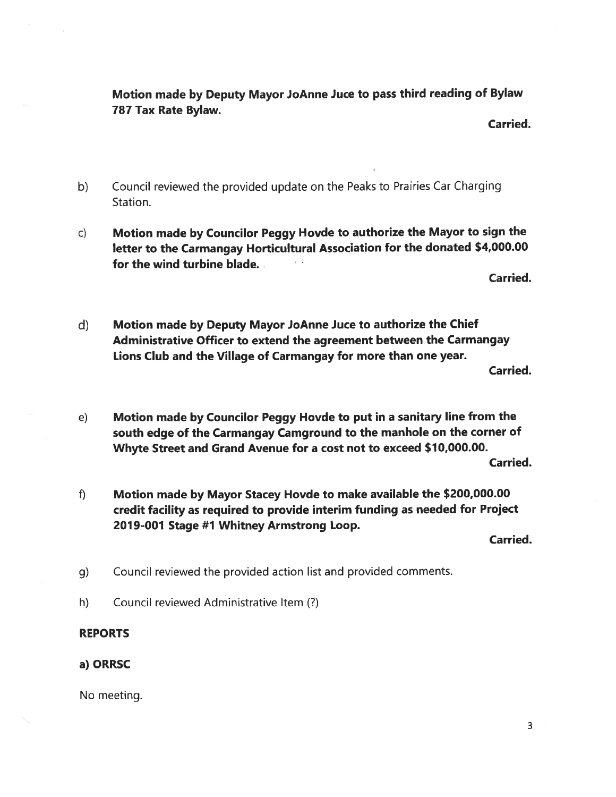Motion made by Deputy Mayor JoAnne Juce to pass third reading of Bylaw 787 Tax Rate Bylaw.

Carried.

- b) Council reviewed the provided update on the Peaks to Prairies Car Charging Station.
- c) Motion made by Councilor Peggy Hovde to authorize the Mayor to sign the letter to the Carmangay Horticultural Association for the donated \$4,000.00 for the wind turbine blade.

Carried.

d) Motion made by Deputy Mayor JoAnne Juce to authorize the Chief Administrative Officer to extend the agreement between the Carmangay Lions Club and the Village of Carmangay for more than one year.

Carried.

e) Motion made by Councilor Peggy Hovde to put in a sanitary line from the south edge of the Carmangay Camground to the manhole on the corner of Whyte Street and Grand Avenue for a cost not to exceed \$10,000.00.

Carried.

f) Motion made by Mayor Stacey Hovde to make available the \$200,000.00 credit facility as required to provide interim funding as needed for Project 2019-001 Stage #1 Whitney Armstrong Loop.

Carried.

- g) Council reviewed the provided action list and provided comments.
- h) Council reviewed Administrative Item (?)

## REPORTS

## a) ORRSC

No meeting.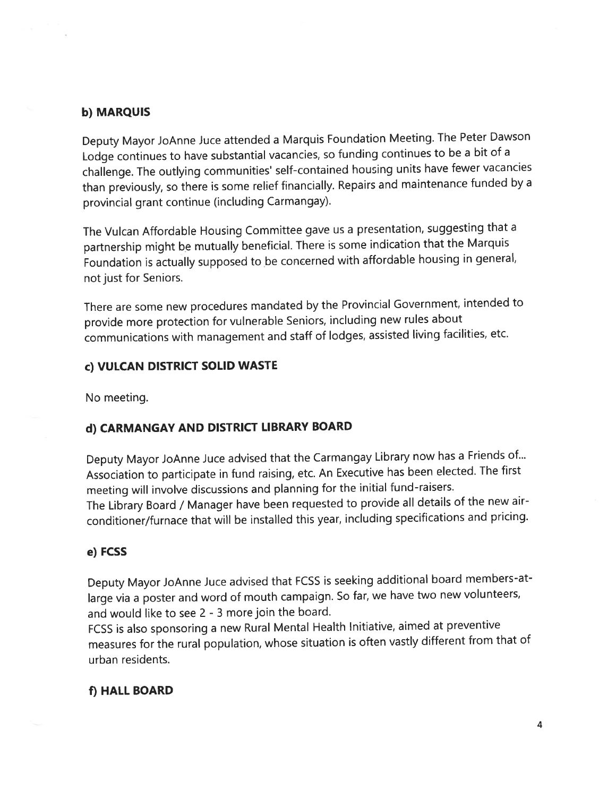## b) MARQUIS

Deputy Mayor JoAnne Juce attended <sup>a</sup> Marquis Foundation Meeting. The Peter Dawson Lodge continues to have substantial vacancies, so funding continues to be <sup>a</sup> bit of <sup>a</sup> challenge. The outlying communities' selt-contained housing units have fewer vacancies than previously, so there is some relief financially. Repairs and maintenance funded by <sup>a</sup> provincial gran<sup>t</sup> continue (including Carmangay).

The Vulcan Affordable Housing Committee gave us <sup>a</sup> presentation, suggesting that <sup>a</sup> partnership might be mutually beneficial. There is some indication that the Marquis Foundation is actually supposed to be concerned with affordable housing in general, not just for Seniors.

There are some new procedures mandated by the Provincial Government, intended to provide more protection for vulnerable Seniors, including new rules about communications with managemen<sup>t</sup> and staff of lodges, assisted living facilities, etc.

## C) VULCAN DISTRICT SOLID WASTE

No meeting.

## d) CARMANGAY AND DISTRICT LIBRARY BOARD

Deputy Mayor JoAnne Juce advised that the Carmangay Library now has <sup>a</sup> Friends of... Association to participate in fund raising, etc. An Executive has been elected. The first meeting will involve discussions and <sup>p</sup>lanning for the initial fund-raisers. The Library Board / Manager have been requested to provide all details of the new airconditioner/furnace that will be installed this year, including specifications and pricing.

## e) FCSS

Deputy Mayor JoAnne Juce advised that FCSS is seeking additional board members-atlarge via <sup>a</sup> poster and word of mouth campaign. So far, we have two new volunteers, and would like to see 2 - 3 more join the board.

FCSS is also sponsoring <sup>a</sup> new Rural Mental Health Initiative, aimed at preventive measures for the rural population, whose situation is often vastly different from that of urban residents.

## f) HALL BOARD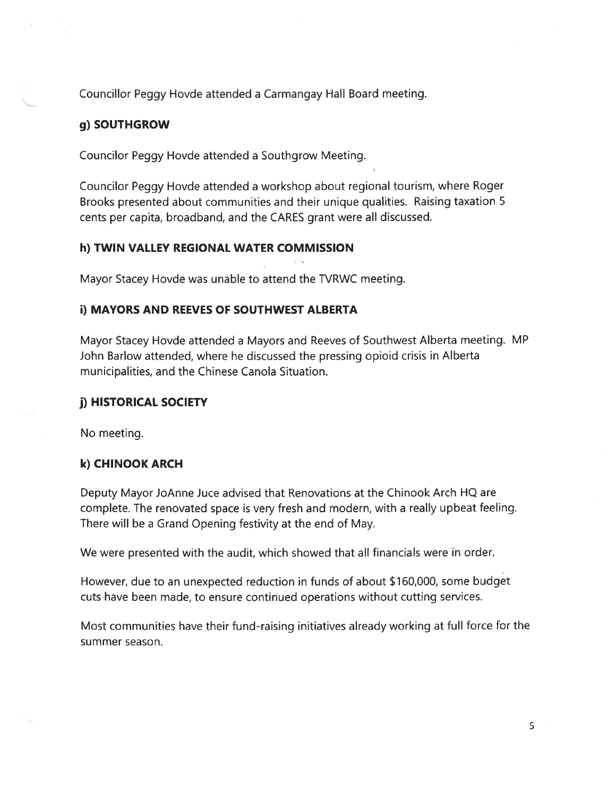Councillor Peggy Hovde attended a Carmangay Hall Board meeting.

## g) SOUTHGROW

Councilor Peggy Hovde attended a Southgrow Meeting.

Councilor Peggy Hovde attended a workshop about regional tourism, where Roger Brooks presented about communities and their unique qualities. Raising taxation <sup>S</sup> cents per capita, broadband, and the CARES grant were all discussed.

### h) TWIN VALLEY REGIONAL WATER COMMISSION

Mayor Stacey Hovde was unable to attend the IVRWC meeting.

### **i) MAYORS AND REEVES OF SOUTHWEST ALBERTA**

Mayor Stacey Hovde attended a Mayors and Reeves of Southwest Alberta meeting. MP John Barlow attended, where he discussed the pressing opioid crisis in Alberta municipalities, and the Chinese Canola Situation.

#### j) HISTORICAL SOCIETY

No meeting.

### k) CHINOOK ARCH

Deputy Mayor JoAnne Juce advised that Renovations at the Chinook Arch HQ are complete. The renovated space is very fresh and modern, with a really upbeat feeling. There will be a Grand Opening festivity at the end of May.

We were presented with the audit, which showed that all financials were in order.

However, due to an unexpected reduction in funds of about \$160,000, some budget cuts have been made, to ensure continued operations without cutting services.

Most communities have their fund-raising initiatives already working at full force for the summer season.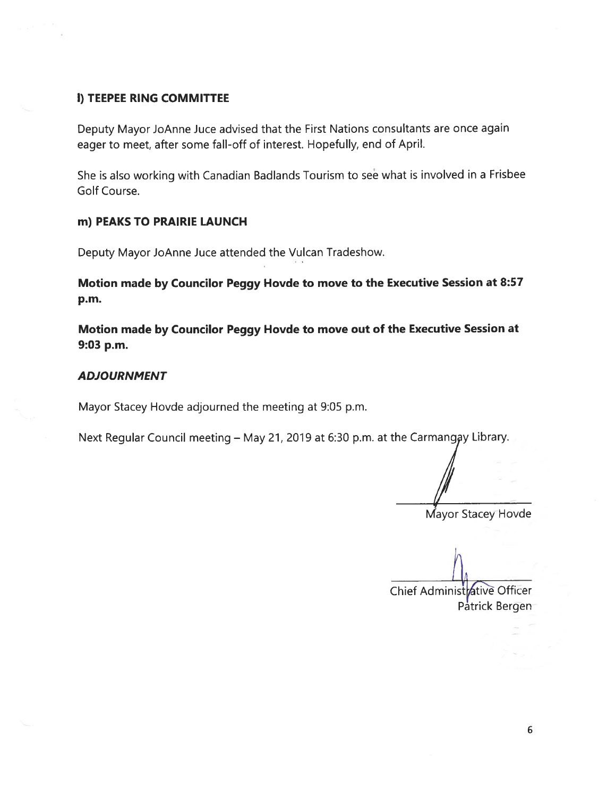### I) TEEPEE RING COMMITTEE

Deputy Mayor JoAnne Juce advised that the First Nations consultants are once again eager to meet, after some fall-off of interest. Hopefully, end of April.

She is also working with Canadian Badlands Tourism to see what is involved in a Frisbee Golf Course.

#### m) PEAKS TO PRAIRIE LAUNCH

Deputy Mayor JoAnne Juce attended the Vulcan Tradeshow.

Motion made by Councilor Peggy Hovde to move to the Executive Session at 8:57 p.m.

Motion made by Councilor Peggy Hovde to move out of the Executive Session at 9:03 p.m.

#### **ADJOURNMENT**

Mayor Stacey Hovde adjourned the meeting at 9:05 p.m.

Next Regular Council meeting - May 21, 2019 at 6:30 p.m. at the Carmangay Library.

Mayor Stacey Hovde

Chief Administrative Officer Patrick Bergen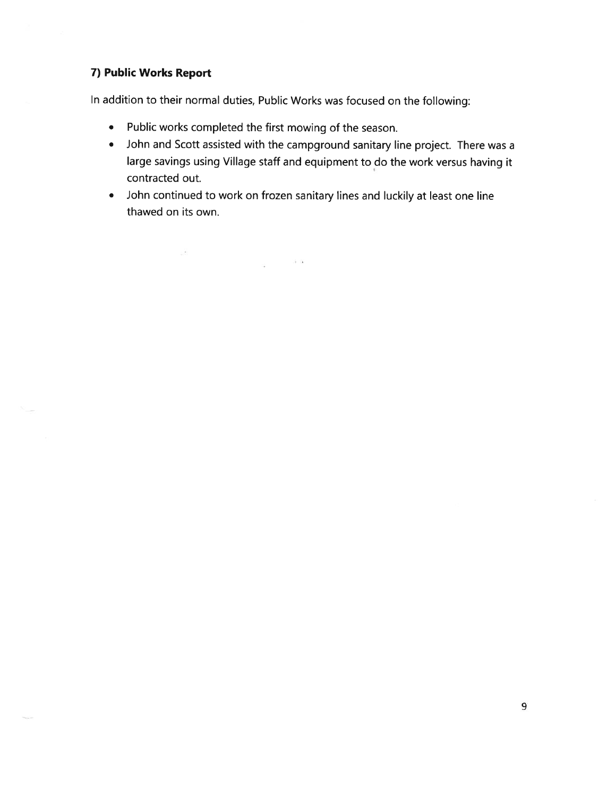### 7) Public Works Report

 $\mathcal{L}^{\text{max}}_{\text{max}}$ 

In addition to their normal duties, Public Works was focused on the following:

 $\frac{1}{12} \qquad \qquad \frac{13}{12} \quad \frac{13}{12}$ 

- Public works completed the first mowing of the season.
- John and Scott assisted with the campground sanitary line project. There was a large savings using Village staff and equipment to do the work versus having it contracted out.
- John continued to work on frozen sanitary lines and luckily at least one line thawed on its own.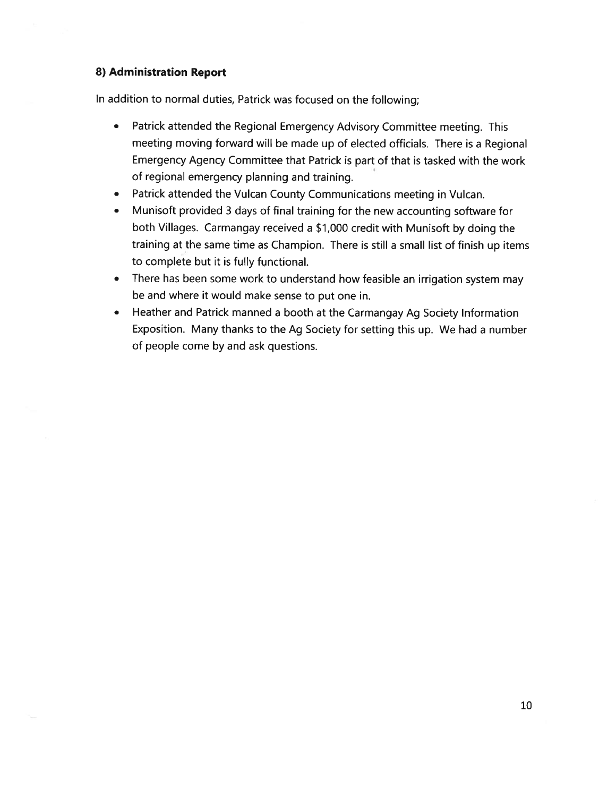### 8) Administration Report

In addition to normal duties, Patrick was focused on the following;

- Patrick attended the Regional Emergency Advisory Committee meeting. This meeting moving forward will be made up of elected officials. There is a Regional Emergency Agency Committee that Patrick is part of that is tasked with the work of regional emergency planning and training.
- Patrick attended the Vulcan County Communications meeting in Vulcan.
- Munisoft provided <sup>3</sup> days of final training for the new accounting software for both Villages. Carmangay received a \$1,000 credit with Munisoft by doing the training at the same time as Champion. There is still a small list of finish up items to complete but it is fully functional.
- There has been some work to understand how feasible an irrigation system may be and where it would make sense to put one in.
- Heather and Patrick manned a booth at the Carmangay Ag Society Information Exposition. Many thanks to the Ag Society for setting this up. We had a number of people come by and ask questions.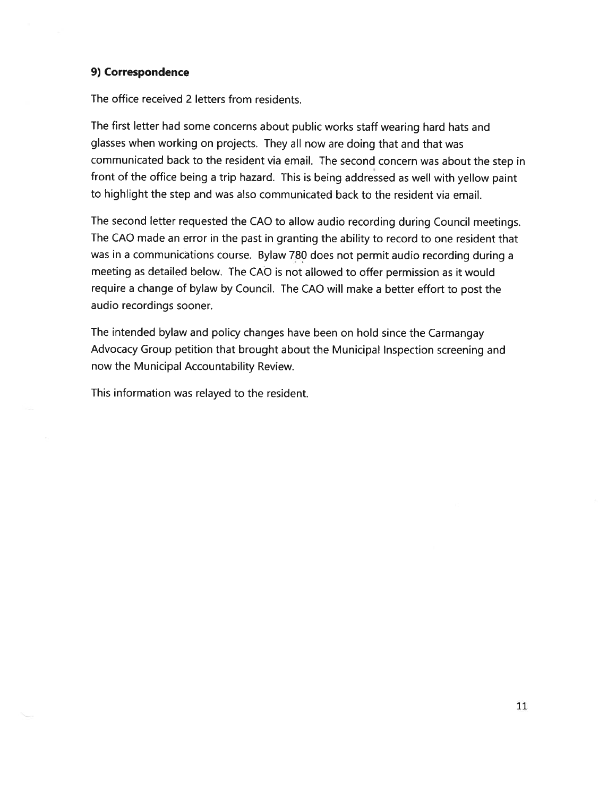#### 9) Correspondence

The office received 2 letters from residents.

The first letter had some concerns about public works staff wearing hard hats and glasses when working on projects. They all now are doing that and that was communicated back to the resident via email. The second concern was about the step in front of the office being a trip hazard. This is being addressed as well with yellow paint to highlight the step and was also communicated back to the resident via email.

The second letter requested the CAD to allow audio recording during Council meetings. The CAO made an error in the past in granting the ability to record to one resident that was in a communications course. Bylaw 780 does not permit audio recording during a meeting as detailed below. The CAO is not allowed to offer permission as it would require a change of bylaw by Council. The CAO will make a better effort to post the audio recordings sooner.

The intended bylaw and policy changes have been on hold since the Carmangay Advocacy Group petition that brought about the Municipal Inspection screening and now the Municipal Accountability Review.

This information was relayed to the resident.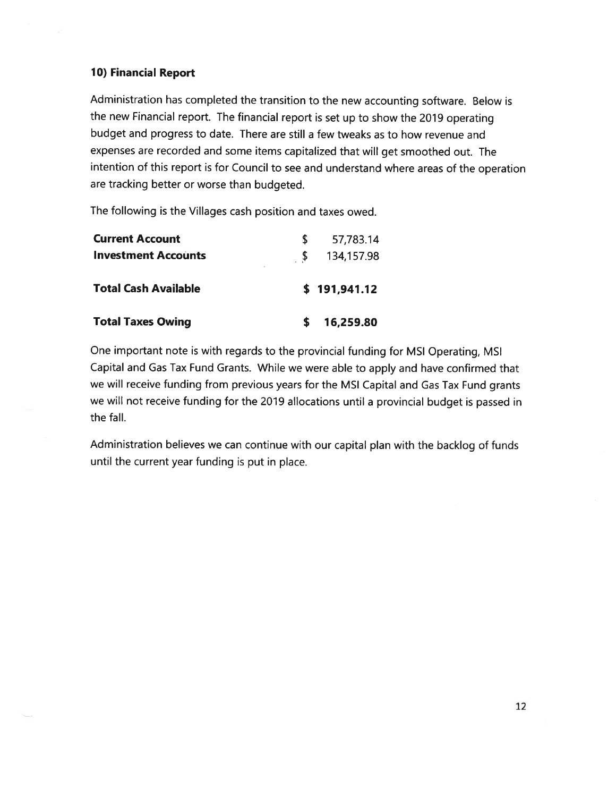### 10) Financial Report

Administration has completed the transition to the new accounting software. Below is the new Financial report. The financial report is set up to show the 2019 operating budget and progress to date. There are still <sup>a</sup> few tweaks as to how revenue and expenses are recorded and some items capitalized that will get smoothed out. The intention of this report is for Council to see and understand where areas of the operation are tracking better or worse than budgeted.

The following is the Villages cash position and taxes owed.

| <b>Current Account</b>      | 57,783.14    |
|-----------------------------|--------------|
| <b>Investment Accounts</b>  | 134,157.98   |
| <b>Total Cash Available</b> | \$191,941.12 |
| <b>Total Taxes Owing</b>    | 16,259.80    |

One important note is with regards to the provincial funding for MSI Operating, MSI Capital and Gas Tax Fund Grants. While we were able to apply and have confirmed that we will receive funding from previous years for the MSI Capital and Gas Tax Fund grants we will not receive funding for the 2019 allocations until a provincial budget is passed in the fall.

Administration believes we can continue with our capital plan with the backlog of funds until the current year funding is put in place.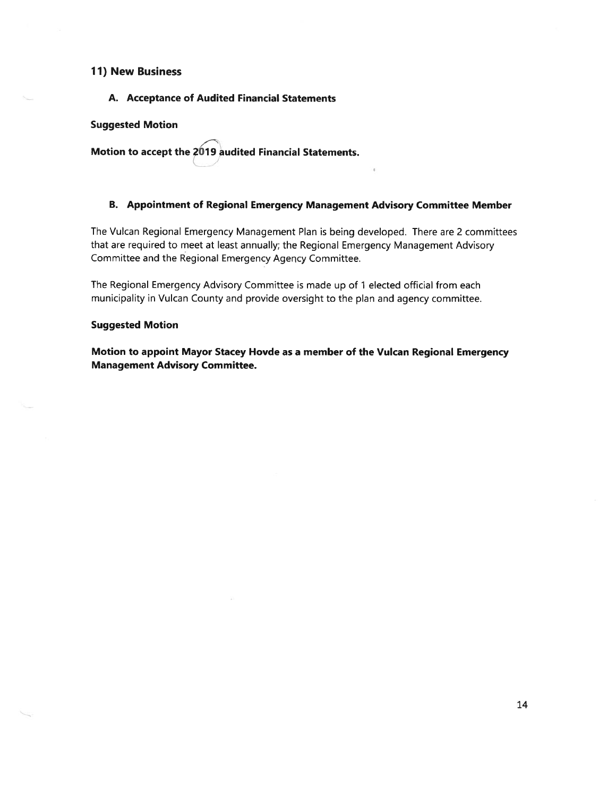#### 11) New Business

A. Acceptance of Audited Financial Statements

#### Suggested Motion

Motion to accept the 2019 audited Financial Statements.

#### B. Appointment of Regional Emergency Management Advisory Committee Member

The Vulcan Regional Emergency Management Plan is being developed. There are 2 committees that are required to meet at least annually; the Regional Emergency Management Advisory Committee and the Regional Emergency Agency Committee.

The Regional Emergency Advisory Committee is made up of <sup>1</sup> elected official from each municipality in Vulcan County and provide oversight to the plan and agency committee.

#### Suggested Motion

Motion to appoint Mayor Stacey Hovde as a member of the Vulcan Regional Emergency Management Advisory Committee.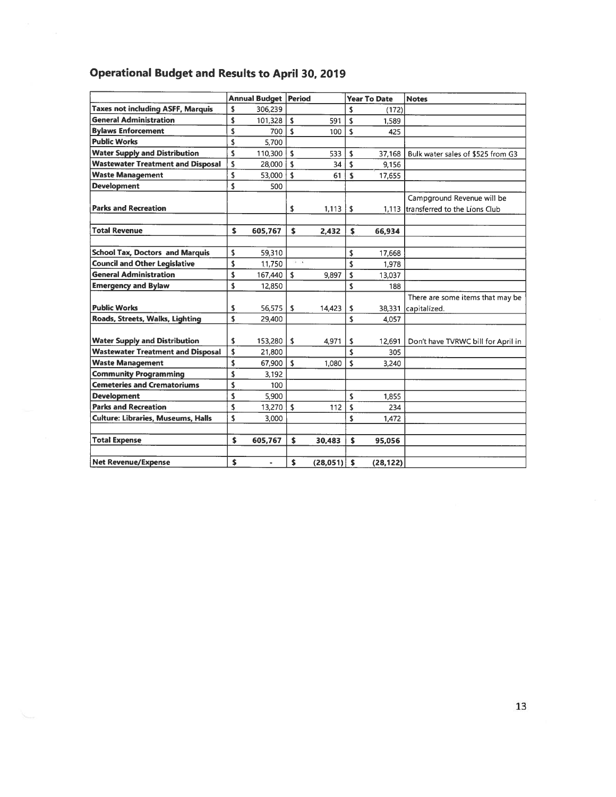# Operational Budget and Results to April 30. 2019

|                                           | Annual Budget   Period |                |                |          | <b>Year To Date</b> |           | <b>Notes</b>                         |
|-------------------------------------------|------------------------|----------------|----------------|----------|---------------------|-----------|--------------------------------------|
| <b>Taxes not including ASFF, Marquis</b>  | \$                     | 306,239        |                |          | \$                  | (172)     |                                      |
| <b>General Administration</b>             | \$                     | 101,328        | ١s             | 591      | \$                  | 1.589     |                                      |
| <b>Bylaws Enforcement</b>                 |                        | 700            | \$             | 100      | \$                  | 425       |                                      |
| <b>Public Works</b>                       |                        | 5.700          |                |          |                     |           |                                      |
| <b>Water Supply and Distribution</b>      |                        | 110,300        | \$             | 533      | \$                  | 37,168    | Bulk water sales of \$525 from G3    |
| <b>Wastewater Treatment and Disposal</b>  |                        | 28,000         | \$             | 34       | \$                  | 9,156     |                                      |
| <b>Waste Management</b>                   |                        | 53,000         | \$             | 61       | \$                  | 17,655    |                                      |
| <b>Development</b>                        |                        | 500            |                |          |                     |           |                                      |
|                                           |                        |                |                |          |                     |           | Campground Revenue will be           |
| <b>Parks and Recreation</b>               |                        |                | \$             | 1,113    | \$                  |           | 1.113 Itransferred to the Lions Club |
|                                           |                        |                |                |          |                     |           |                                      |
| <b>Total Revenue</b>                      | \$                     | 605,767        | \$             | 2,432    | $\mathsf{s}$        | 66,934    |                                      |
|                                           |                        |                |                |          |                     |           |                                      |
| <b>School Tax, Doctors and Marquis</b>    | \$                     | 59,310         |                |          | \$                  | 17,668    |                                      |
| <b>Council and Other Legislative</b>      | \$                     | 11,750         | $+$ $\sqrt{k}$ |          | \$                  | 1,978     |                                      |
| <b>General Administration</b>             | \$                     | 167,440        | \$             | 9,897    | \$                  | 13,037    |                                      |
| <b>Emergency and Bylaw</b>                | \$                     | 12,850         |                |          | \$                  | 188       |                                      |
|                                           |                        |                |                |          |                     |           | There are some items that may be     |
| <b>Public Works</b>                       | \$                     | 56,575         | \$             | 14,423   | \$                  | 38,331    | capitalized.                         |
| Roads, Streets, Walks, Lighting           | \$                     | 29,400         |                |          | \$                  | 4.057     |                                      |
|                                           |                        |                |                |          |                     |           |                                      |
| <b>Water Supply and Distribution</b>      | \$                     | 153,280        | \$             | 4,971    | s                   | 12,691    | Don't have TVRWC bill for April in   |
| <b>Wastewater Treatment and Disposal</b>  | \$                     | 21,800         |                |          | \$                  | 305       |                                      |
| <b>Waste Management</b>                   | \$                     | 67,900         | ١s             | 1,080    | $\mathsf{\$}$       | 3,240     |                                      |
| <b>Community Programming</b>              | \$                     | 3,192          |                |          |                     |           |                                      |
| <b>Cemeteries and Crematoriums</b>        | \$                     | 100            |                |          |                     |           |                                      |
| <b>Development</b>                        | \$                     | 5,900          |                |          | \$                  | 1,855     |                                      |
| <b>Parks and Recreation</b>               | \$                     | 13,270         | $\mathbf{s}$   | 112      | \$                  | 234       |                                      |
| <b>Culture: Libraries, Museums, Halls</b> |                        | 3.000          |                |          | \$                  | 1.472     |                                      |
|                                           |                        |                |                |          |                     |           |                                      |
| <b>Total Expense</b>                      | \$                     | 605,767        | \$             | 30,483   | s.                  | 95,056    |                                      |
|                                           |                        |                |                |          |                     |           |                                      |
| <b>Net Revenue/Expense</b>                | \$                     | $\blacksquare$ | \$             | (28,051) | \$                  | (28, 122) |                                      |